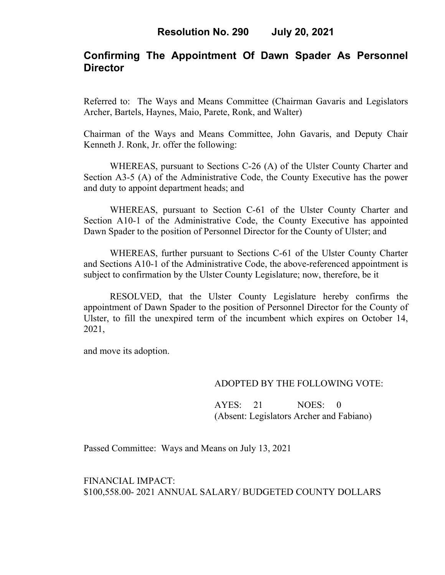# **Confirming The Appointment Of Dawn Spader As Personnel Director**

Referred to: The Ways and Means Committee (Chairman Gavaris and Legislators Archer, Bartels, Haynes, Maio, Parete, Ronk, and Walter)

Chairman of the Ways and Means Committee, John Gavaris, and Deputy Chair Kenneth J. Ronk, Jr. offer the following:

WHEREAS, pursuant to Sections C-26 (A) of the Ulster County Charter and Section A3-5 (A) of the Administrative Code, the County Executive has the power and duty to appoint department heads; and

WHEREAS, pursuant to Section C-61 of the Ulster County Charter and Section A10-1 of the Administrative Code, the County Executive has appointed Dawn Spader to the position of Personnel Director for the County of Ulster; and

WHEREAS, further pursuant to Sections C-61 of the Ulster County Charter and Sections A10-1 of the Administrative Code, the above-referenced appointment is subject to confirmation by the Ulster County Legislature; now, therefore, be it

RESOLVED, that the Ulster County Legislature hereby confirms the appointment of Dawn Spader to the position of Personnel Director for the County of Ulster, to fill the unexpired term of the incumbent which expires on October 14, 2021,

and move its adoption.

### ADOPTED BY THE FOLLOWING VOTE:

AYES: 21 NOES: 0 (Absent: Legislators Archer and Fabiano)

Passed Committee: Ways and Means on July 13, 2021

FINANCIAL IMPACT: \$100,558.00- 2021 ANNUAL SALARY/ BUDGETED COUNTY DOLLARS